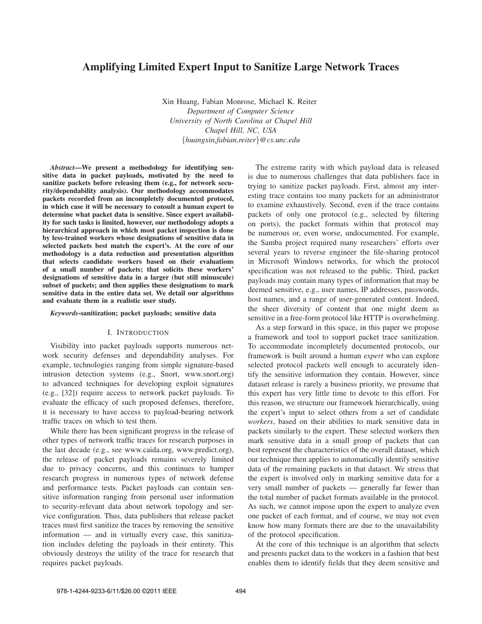# **Amplifying Limited Expert Input to Sanitize Large Network Traces**

Xin Huang, Fabian Monrose, Michael K. Reiter *Department of Computer Science University of North Carolina at Chapel Hill Chapel Hill, NC, USA* {*huangxin,fabian,reiter*}*@cs.unc.edu*

*Abstract***—We present a methodology for identifying sensitive data in packet payloads, motivated by the need to sanitize packets before releasing them (e.g., for network security/dependability analysis). Our methodology accommodates packets recorded from an incompletely documented protocol, in which case it will be necessary to consult a human expert to determine what packet data is sensitive. Since expert availability for such tasks is limited, however, our methodology adopts a hierarchical approach in which most packet inspection is done by less-trained workers whose designations of sensitive data in selected packets best match the expert's. At the core of our methodology is a data reduction and presentation algorithm that selects candidate workers based on their evaluations of a small number of packets; that solicits these workers' designations of sensitive data in a larger (but still minuscule) subset of packets; and then applies these designations to mark sensitive data in the entire data set. We detail our algorithms and evaluate them in a realistic user study.**

#### *Keywords***-sanitization; packet payloads; sensitive data**

## I. INTRODUCTION

Visibility into packet payloads supports numerous network security defenses and dependability analyses. For example, technologies ranging from simple signature-based intrusion detection systems (e.g., Snort, www.snort.org) to advanced techniques for developing exploit signatures (e.g., [32]) require access to network packet payloads. To evaluate the efficacy of such proposed defenses, therefore, it is necessary to have access to payload-bearing network traffic traces on which to test them.

While there has been significant progress in the release of other types of network traffic traces for research purposes in the last decade (e.g., see www.caida.org, www.predict.org), the release of packet payloads remains severely limited due to privacy concerns, and this continues to hamper research progress in numerous types of network defense and performance tests. Packet payloads can contain sensitive information ranging from personal user information to security-relevant data about network topology and service configuration. Thus, data publishers that release packet traces must first sanitize the traces by removing the sensitive information — and in virtually every case, this sanitization includes deleting the payloads in their entirety. This obviously destroys the utility of the trace for research that requires packet payloads.

The extreme rarity with which payload data is released is due to numerous challenges that data publishers face in trying to sanitize packet payloads. First, almost any interesting trace contains too many packets for an administrator to examine exhaustively. Second, even if the trace contains packets of only one protocol (e.g., selected by filtering on ports), the packet formats within that protocol may be numerous or, even worse, undocumented. For example, the Samba project required many researchers' efforts over several years to reverse engineer the file-sharing protocol in Microsoft Windows networks, for which the protocol specification was not released to the public. Third, packet payloads may contain many types of information that may be deemed sensitive, e.g., user names, IP addresses, passwords, host names, and a range of user-generated content. Indeed, the sheer diversity of content that one might deem as sensitive in a free-form protocol like HTTP is overwhelming.

As a step forward in this space, in this paper we propose a framework and tool to support packet trace sanitization. To accommodate incompletely documented protocols, our framework is built around a human *expert* who can explore selected protocol packets well enough to accurately identify the sensitive information they contain. However, since dataset release is rarely a business priority, we presume that this expert has very little time to devote to this effort. For this reason, we structure our framework hierarchically, using the expert's input to select others from a set of candidate *workers*, based on their abilities to mark sensitive data in packets similarly to the expert. These selected workers then mark sensitive data in a small group of packets that can best represent the characteristics of the overall dataset, which our technique then applies to automatically identify sensitive data of the remaining packets in that dataset. We stress that the expert is involved only in marking sensitive data for a very small number of packets — generally far fewer than the total number of packet formats available in the protocol. As such, we cannot impose upon the expert to analyze even one packet of each format, and of course, we may not even know how many formats there are due to the unavailability of the protocol specification.

At the core of this technique is an algorithm that selects and presents packet data to the workers in a fashion that best enables them to identify fields that they deem sensitive and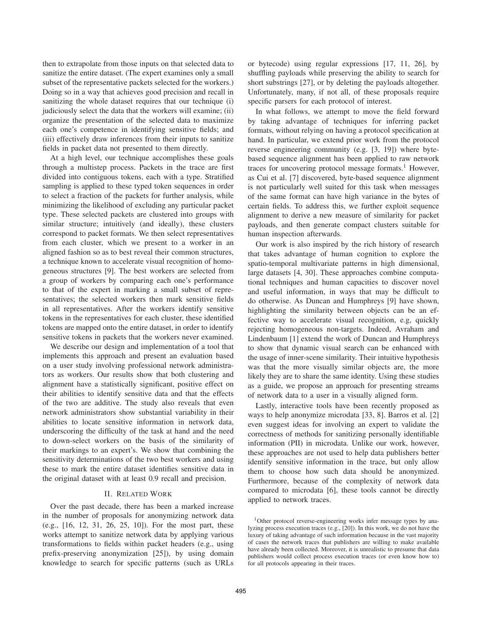then to extrapolate from those inputs on that selected data to sanitize the entire dataset. (The expert examines only a small subset of the representative packets selected for the workers.) Doing so in a way that achieves good precision and recall in sanitizing the whole dataset requires that our technique (i) judiciously select the data that the workers will examine; (ii) organize the presentation of the selected data to maximize each one's competence in identifying sensitive fields; and (iii) effectively draw inferences from their inputs to sanitize fields in packet data not presented to them directly.

At a high level, our technique accomplishes these goals through a multistep process. Packets in the trace are first divided into contiguous tokens, each with a type. Stratified sampling is applied to these typed token sequences in order to select a fraction of the packets for further analysis, while minimizing the likelihood of excluding any particular packet type. These selected packets are clustered into groups with similar structure; intuitively (and ideally), these clusters correspond to packet formats. We then select representatives from each cluster, which we present to a worker in an aligned fashion so as to best reveal their common structures, a technique known to accelerate visual recognition of homogeneous structures [9]. The best workers are selected from a group of workers by comparing each one's performance to that of the expert in marking a small subset of representatives; the selected workers then mark sensitive fields in all representatives. After the workers identify sensitive tokens in the representatives for each cluster, these identified tokens are mapped onto the entire dataset, in order to identify sensitive tokens in packets that the workers never examined.

We describe our design and implementation of a tool that implements this approach and present an evaluation based on a user study involving professional network administrators as workers. Our results show that both clustering and alignment have a statistically significant, positive effect on their abilities to identify sensitive data and that the effects of the two are additive. The study also reveals that even network administrators show substantial variability in their abilities to locate sensitive information in network data, underscoring the difficulty of the task at hand and the need to down-select workers on the basis of the similarity of their markings to an expert's. We show that combining the sensitivity determinations of the two best workers and using these to mark the entire dataset identifies sensitive data in the original dataset with at least 0.9 recall and precision.

## II. RELATED WORK

Over the past decade, there has been a marked increase in the number of proposals for anonymizing network data (e.g., [16, 12, 31, 26, 25, 10]). For the most part, these works attempt to sanitize network data by applying various transformations to fields within packet headers (e.g., using prefix-preserving anonymization [25]), by using domain knowledge to search for specific patterns (such as URLs or bytecode) using regular expressions [17, 11, 26], by shuffling payloads while preserving the ability to search for short substrings [27], or by deleting the payloads altogether. Unfortunately, many, if not all, of these proposals require specific parsers for each protocol of interest.

In what follows, we attempt to move the field forward by taking advantage of techniques for inferring packet formats, without relying on having a protocol specification at hand. In particular, we extend prior work from the protocol reverse engineering community (e.g. [3, 19]) where bytebased sequence alignment has been applied to raw network traces for uncovering protocol message formats.<sup>1</sup> However, as Cui et al. [7] discovered, byte-based sequence alignment is not particularly well suited for this task when messages of the same format can have high variance in the bytes of certain fields. To address this, we further exploit sequence alignment to derive a new measure of similarity for packet payloads, and then generate compact clusters suitable for human inspection afterwards.

Our work is also inspired by the rich history of research that takes advantage of human cognition to explore the spatio-temporal multivariate patterns in high dimensional, large datasets [4, 30]. These approaches combine computational techniques and human capacities to discover novel and useful information, in ways that may be difficult to do otherwise. As Duncan and Humphreys [9] have shown, highlighting the similarity between objects can be an effective way to accelerate visual recognition, e.g, quickly rejecting homogeneous non-targets. Indeed, Avraham and Lindenbaum [1] extend the work of Duncan and Humphreys to show that dynamic visual search can be enhanced with the usage of inner-scene similarity. Their intuitive hypothesis was that the more visually similar objects are, the more likely they are to share the same identity. Using these studies as a guide, we propose an approach for presenting streams of network data to a user in a visually aligned form.

Lastly, interactive tools have been recently proposed as ways to help anonymize microdata [33, 8]. Barros et al. [2] even suggest ideas for involving an expert to validate the correctness of methods for sanitizing personally identifiable information (PII) in microdata. Unlike our work, however, these approaches are not used to help data publishers better identify sensitive information in the trace, but only allow them to choose how such data should be anonymized. Furthermore, because of the complexity of network data compared to microdata [6], these tools cannot be directly applied to network traces.

<sup>1</sup>Other protocol reverse-engineering works infer message types by analyzing process execution traces (e.g., [20]). In this work, we do not have the luxury of taking advantage of such information because in the vast majority of cases the network traces that publishers are willing to make available have already been collected. Moreover, it is unrealistic to presume that data publishers would collect process execution traces (or even know how to) for all protocols appearing in their traces.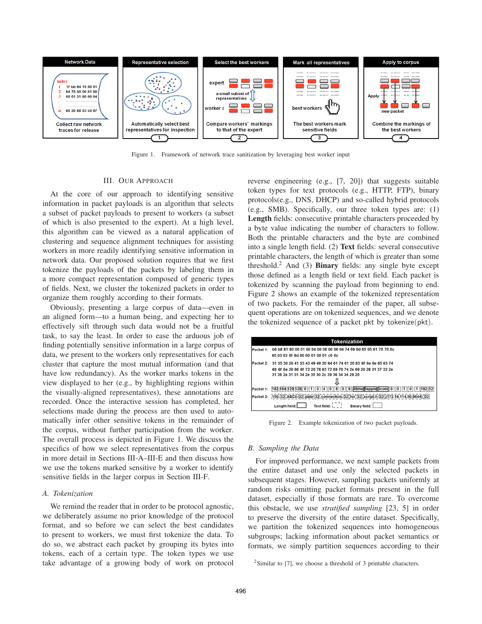

Figure 1. Framework of network trace sanitization by leveraging best worker input

## III. OUR APPROACH

At the core of our approach to identifying sensitive information in packet payloads is an algorithm that selects a subset of packet payloads to present to workers (a subset of which is also presented to the expert). At a high level, this algorithm can be viewed as a natural application of clustering and sequence alignment techniques for assisting workers in more readily identifying sensitive information in network data. Our proposed solution requires that we first tokenize the payloads of the packets by labeling them in a more compact representation composed of generic types of fields. Next, we cluster the tokenized packets in order to organize them roughly according to their formats.

Obviously, presenting a large corpus of data—even in an aligned form—to a human being, and expecting her to effectively sift through such data would not be a fruitful task, to say the least. In order to ease the arduous job of finding potentially sensitive information in a large corpus of data, we present to the workers only representatives for each cluster that capture the most mutual information (and that have low redundancy). As the worker marks tokens in the view displayed to her (e.g., by highlighting regions within the visually-aligned representatives), these annotations are recorded. Once the interactive session has completed, her selections made during the process are then used to automatically infer other sensitive tokens in the remainder of the corpus, without further participation from the worker. The overall process is depicted in Figure 1. We discuss the specifics of how we select representatives from the corpus in more detail in Sections III-A–III-E and then discuss how we use the tokens marked sensitive by a worker to identify sensitive fields in the larger corpus in Section III-F.

### *A. Tokenization*

We remind the reader that in order to be protocol agnostic, we deliberately assume no prior knowledge of the protocol format, and so before we can select the best candidates to present to workers, we must first tokenize the data. To do so, we abstract each packet by grouping its bytes into tokens, each of a certain type. The token types we use take advantage of a growing body of work on protocol reverse engineering (e.g., [7, 20]) that suggests suitable token types for text protocols (e.g., HTTP, FTP), binary protocols(e.g., DNS, DHCP) and so-called hybrid protocols (e.g., SMB). Specifically, our three token types are: (1) **Length** fields: consecutive printable characters proceeded by a byte value indicating the number of characters to follow. Both the printable characters and the byte are combined into a single length field. (2) **Text** fields: several consecutive printable characters, the length of which is greater than some threshold.2 And (3) **Binary** fields: any single byte except those defined as a length field or text field. Each packet is tokenized by scanning the payload from beginning to end. Figure 2 shows an example of the tokenized representation of two packets. For the remainder of the paper, all subsequent operations are on tokenized sequences, and we denote the tokenized sequence of a packet pkt by tokenize(pkt).

|           | <b>Tokenization</b>                                                                                           |
|-----------|---------------------------------------------------------------------------------------------------------------|
| Packet 1: | b6 b8 81 80 00 01 00 04 00 06 00 06 04 74 69 6d 65 05 61 70 70 6c                                             |
|           | 65 03 63 6f 6d 00 00 01 00 01 c0 0c                                                                           |
| Packet 2: | 31 35 30 20 41 53 43 49 49 20 64 61 74 61 20 63 6f 6e 6e 65 63 74                                             |
|           | 69 6f 6e 20 66 6f 72 20 78 63 72 69 70 74 2e 68 20 28 31 37 32 2e                                             |
|           | 31 36 2e 31 31 34 2e 35 30 2c 39 36 34 34 29 20                                                               |
|           |                                                                                                               |
|           | Packet 1: 182 184 129 128 0 : 1 : 0 : 4 : 0 : 6 : 0 : 6 : 0 : 6   4time bapple Bcom : 0 : 1 : 0 : 1 : 192 12: |
| Packet 2: | [150] 32; ASCII 32; data 32; connection 32; for 32; xcript h 32; (172.16.114.50,9644) 32;                     |
|           | Text field: $\frac{1}{2}$<br>Binary field: $\begin{bmatrix} 1 & 1 \\ 1 & 1 \end{bmatrix}$<br>Length field:    |

Figure 2. Example tokenization of two packet payloads.

#### *B. Sampling the Data*

For improved performance, we next sample packets from the entire dataset and use only the selected packets in subsequent stages. However, sampling packets uniformly at random risks omitting packet formats present in the full dataset, especially if those formats are rare. To overcome this obstacle, we use *stratified sampling* [23, 5] in order to preserve the diversity of the entire dataset. Specifically, we partition the tokenized sequences into homogeneous subgroups; lacking information about packet semantics or formats, we simply partition sequences according to their

 $2$ Similar to [7], we choose a threshold of 3 printable characters.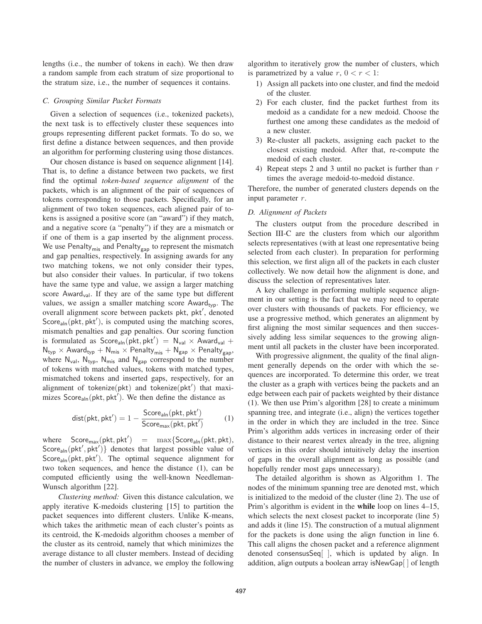lengths (i.e., the number of tokens in each). We then draw a random sample from each stratum of size proportional to the stratum size, i.e., the number of sequences it contains.

#### *C. Grouping Similar Packet Formats*

Given a selection of sequences (i.e., tokenized packets), the next task is to effectively cluster these sequences into groups representing different packet formats. To do so, we first define a distance between sequences, and then provide an algorithm for performing clustering using those distances.

Our chosen distance is based on sequence alignment [14]. That is, to define a distance between two packets, we first find the optimal *token-based sequence alignment* of the packets, which is an alignment of the pair of sequences of tokens corresponding to those packets. Specifically, for an alignment of two token sequences, each aligned pair of tokens is assigned a positive score (an "award") if they match, and a negative score (a "penalty") if they are a mismatch or if one of them is a gap inserted by the alignment process. We use Penalty<sub>mis</sub> and Penalty<sub>gap</sub> to represent the mismatch and gap penalties, respectively. In assigning awards for any two matching tokens, we not only consider their types, but also consider their values. In particular, if two tokens have the same type and value, we assign a larger matching score Award<sub>val</sub>. If they are of the same type but different values, we assign a smaller matching score Award<sub>typ</sub>. The overall alignment score between packets pkt, pkt′ , denoted Score<sub>aln</sub>(pkt, pkt'), is computed using the matching scores, mismatch penalties and gap penalties. Our scoring function is formulated as  $Score_{\text{aln}}(\text{pkt}, \text{pkt}') = N_{\text{val}} \times Award_{\text{val}} +$  $N_{\text{typ}} \times$  Award<sub>typ</sub> +  $N_{\text{mis}} \times$  Penalty<sub>mis</sub> +  $N_{\text{gap}} \times$  Penalty<sub>gap</sub>, where  $N_{val}$ ,  $N_{typ}$ ,  $N_{mis}$  and  $N_{gap}$  correspond to the number of tokens with matched values, tokens with matched types, mismatched tokens and inserted gaps, respectively, for an alignment of tokenize(pkt) and tokenize(pkt′ ) that maximizes  $Score_{\text{aln}}(\text{pkt}, \text{pkt}')$ . We then define the distance as

$$
dist(\mathsf{pkt}, \mathsf{pkt}') = 1 - \frac{\mathsf{Score}_{\mathsf{aln}}(\mathsf{pkt}, \mathsf{pkt}')}{\mathsf{Score}_{\mathsf{max}}(\mathsf{pkt}, \mathsf{pkt}')}\tag{1}
$$

where  $Score_{max}(pkt, pkt') = max{Score_{aln}(pkt, pkt)}$  $Score_{\text{aln}}(\text{plt}', \text{plt}')$ } denotes that largest possible value of  $Score_{\text{aln}}(\text{plt}, \text{plt}')$ . The optimal sequence alignment for two token sequences, and hence the distance (1), can be computed efficiently using the well-known Needleman-Wunsch algorithm [22].

*Clustering method:* Given this distance calculation, we apply iterative K-medoids clustering [15] to partition the packet sequences into different clusters. Unlike K-means, which takes the arithmetic mean of each cluster's points as its centroid, the K-medoids algorithm chooses a member of the cluster as its centroid, namely that which minimizes the average distance to all cluster members. Instead of deciding the number of clusters in advance, we employ the following algorithm to iteratively grow the number of clusters, which is parametrized by a value r,  $0 < r < 1$ :

- 1) Assign all packets into one cluster, and find the medoid of the cluster.
- 2) For each cluster, find the packet furthest from its medoid as a candidate for a new medoid. Choose the furthest one among these candidates as the medoid of a new cluster.
- 3) Re-cluster all packets, assigning each packet to the closest existing medoid. After that, re-compute the medoid of each cluster.
- 4) Repeat steps 2 and 3 until no packet is further than  $r$ times the average medoid-to-medoid distance.

Therefore, the number of generated clusters depends on the input parameter  $r$ .

## *D. Alignment of Packets*

The clusters output from the procedure described in Section III-C are the clusters from which our algorithm selects representatives (with at least one representative being selected from each cluster). In preparation for performing this selection, we first align all of the packets in each cluster collectively. We now detail how the alignment is done, and discuss the selection of representatives later.

A key challenge in performing multiple sequence alignment in our setting is the fact that we may need to operate over clusters with thousands of packets. For efficiency, we use a progressive method, which generates an alignment by first aligning the most similar sequences and then successively adding less similar sequences to the growing alignment until all packets in the cluster have been incorporated.

With progressive alignment, the quality of the final alignment generally depends on the order with which the sequences are incorporated. To determine this order, we treat the cluster as a graph with vertices being the packets and an edge between each pair of packets weighted by their distance (1). We then use Prim's algorithm [28] to create a minimum spanning tree, and integrate (i.e., align) the vertices together in the order in which they are included in the tree. Since Prim's algorithm adds vertices in increasing order of their distance to their nearest vertex already in the tree, aligning vertices in this order should intuitively delay the insertion of gaps in the overall alignment as long as possible (and hopefully render most gaps unnecessary).

The detailed algorithm is shown as Algorithm 1. The nodes of the minimum spanning tree are denoted mst, which is initialized to the medoid of the cluster (line 2). The use of Prim's algorithm is evident in the **while** loop on lines 4–15, which selects the next closest packet to incorporate (line 5) and adds it (line 15). The construction of a mutual alignment for the packets is done using the align function in line 6. This call aligns the chosen packet and a reference alignment denoted consensusSeq[ ], which is updated by align. In addition, align outputs a boolean array isNewGap[ ] of length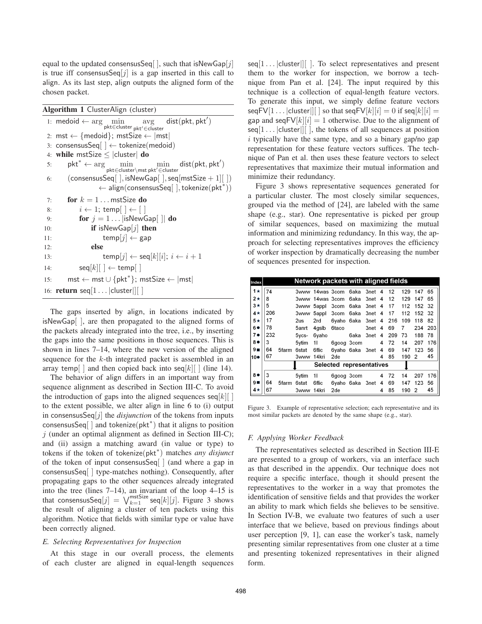equal to the updated consensusSeq[], such that isNewGap[j] is true iff consensusSeq[j] is a gap inserted in this call to align. As its last step, align outputs the aligned form of the chosen packet.

|     | Algorithm 1 ClusterAlign (cluster)                                                                                                                                          |
|-----|-----------------------------------------------------------------------------------------------------------------------------------------------------------------------------|
|     | $\text{1:}\text{~medoid} \gets \arg\min_{\text{ptt} \in \text{cluster}} \arg\hspace{0.5em} \text{dist}(\text{plt}, \text{plt}^\prime)$                                      |
|     | 2: mst $\leftarrow$ {medoid}; mstSize $\leftarrow$  mst                                                                                                                     |
|     | 3: consensusSeq $[ \ ] \leftarrow$ tokenize(medoid)                                                                                                                         |
|     | 4: while mstSize $\le$  cluster  do                                                                                                                                         |
| 5:  | $\mathsf{plt}^* \leftarrow \arg\min_{\mathsf{plt} \in \mathsf{plt}^* \in \mathsf{plt}^*} \min_{\mathsf{plt} \in \mathsf{plt}^*} \mathsf{dist}(\mathsf{plt}, \mathsf{plt}')$ |
| 6:  | $\sigma$ (consensus Seq   , is New Gap   , seq [mst Size + 1]                                                                                                               |
|     | $\leftarrow$ align(consensusSeq[], tokenize(pkt*))                                                                                                                          |
| 7:  | for $k = 1$ mstSize do                                                                                                                                                      |
| 8:  | $i \leftarrow 1$ ; temp $  \leftarrow  $                                                                                                                                    |
| 9:  | <b>for</b> $j = 1 \dots  \text{isNewGap}   \text{do}$                                                                                                                       |
| 10: | <b>if</b> isNewGap[j] <b>then</b>                                                                                                                                           |
| 11: | temp $[j] \leftarrow$ gap                                                                                                                                                   |
| 12: | else                                                                                                                                                                        |
| 13: | temp[j] $\leftarrow$ seq[k][i]; $i \leftarrow i + 1$                                                                                                                        |
| 14: | $ \mathsf{seq}   k    \mathsf{l} \leftarrow \mathsf{temp}   \mathsf{l}$                                                                                                     |
| 15: | $mst \leftarrow mst \cup \{ \mathsf{pkt}^* \}; mstSize \leftarrow  mst $                                                                                                    |
|     | 16: <b>return</b> seq $[1 \dots  \text{cluster}  ]$                                                                                                                         |

The gaps inserted by align, in locations indicated by isNewGap[ ], are then propagated to the aligned forms of the packets already integrated into the tree, i.e., by inserting the gaps into the same positions in those sequences. This is shown in lines 7–14, where the new version of the aligned sequence for the  $k$ -th integrated packet is assembled in an array temp<sup>[]</sup> and then copied back into seq $[k]$ [] (line 14).

The behavior of align differs in an important way from sequence alignment as described in Section III-C. To avoid the introduction of gaps into the aligned sequences seq[k][ ] to the extent possible, we alter align in line 6 to (i) output in consensusSeq $[j]$  the *disjunction* of the tokens from inputs consensusSeq[ ] and tokenize(pkt<sup>∗</sup>) that it aligns to position  $i$  (under an optimal alignment as defined in Section III-C); and (ii) assign a matching award (in value or type) to tokens if the token of tokenize(pkt<sup>∗</sup>) matches *any disjunct* of the token of input consensusSeq[ ] (and where a gap in consensusSeq[ ] type-matches nothing). Consequently, after propagating gaps to the other sequences already integrated into the tree (lines 7–14), an invariant of the loop 4–15 is that consensusSeq $[j] = \bigvee_{k=1}^{\text{mstSize}}$  seq $[k][j]$ . Figure 3 shows the result of aligning a cluster of ten packets using this algorithm. Notice that fields with similar type or value have been correctly aligned.

## *E. Selecting Representatives for Inspection*

At this stage in our overall process, the elements of each cluster are aligned in equal-length sequences seq[1 ... ∣cluster∣][ ]. To select representatives and present them to the worker for inspection, we borrow a technique from Pan et al. [24]. The input required by this technique is a collection of equal-length feature vectors. To generate this input, we simply define feature vectors seqFV[1... |cluster||[ ] so that seqFV[ $k$ ][ $i$ ] = 0 if seq[ $k$ ][ $i$ ] = gap and seqFV $[k][i]=1$  otherwise. Due to the alignment of seq[1 ... ∣cluster∣][ ], the tokens of all sequences at position  $i$  typically have the same type, and so a binary gap/no gap representation for these feature vectors suffices. The technique of Pan et al. then uses these feature vectors to select representatives that maximize their mutual information and minimize their redundancy.

Figure 3 shows representative sequences generated for a particular cluster. The most closely similar sequences, grouped via the method of [24], are labeled with the same shape (e.g., star). One representative is picked per group of similar sequences, based on maximizing the mutual information and minimizing redundancy. In this way, the approach for selecting representatives improves the efficiency of worker inspection by dramatically decreasing the number of sequences presented for inspection.

| Index          | Network packets with aligned fields |       |         |            |            |      |      |    |     |     |     |     |  |  |  |
|----------------|-------------------------------------|-------|---------|------------|------------|------|------|----|-----|-----|-----|-----|--|--|--|
| $1\star$       | 74                                  |       | 3www    | 14was 3com |            | 6aka | 3net | 4  | 12  | 129 | 147 | 65  |  |  |  |
| 2★             | 8                                   |       | 3www    | 14was 3com |            | 6aka | 3net | 4  | 12  | 129 | 147 | 65  |  |  |  |
| $3\star$       | 5                                   |       | 3www    | 5appl      | 3com       | 6aka | 3net | 4  | 17  | 112 | 152 | 32  |  |  |  |
| $4\star$       | 206                                 |       | 3www    | 5appl      | 3com       | 6aka | 3net | -4 | 17  | 112 | 152 | 32  |  |  |  |
| $5*$           | 17                                  |       | 2us     | 2rd        | 6yaho 6aka |      | 3net | 4  | 216 | 109 | 118 | 82  |  |  |  |
| 60             | 78                                  |       | 5anrt   | 4gslb      | 6taco      |      | 3net | 4  | 69  | 7   | 234 | 203 |  |  |  |
| 70             | 232                                 |       | $5ycs-$ | 6vaho      |            | 6aka | 3net | 4  | 209 | 73  | 188 | 78  |  |  |  |
| 80             | 3                                   |       | 5ytim   | 11         | 6goog 3com |      |      | 4  | 72  | 14  | 207 | 176 |  |  |  |
| 9∎             | 64                                  | 5farm | 6stat   | 6flic      | 6yaho 6aka |      | 3net | 4  | 69  | 147 | 123 | 56  |  |  |  |
| 10●            | 67                                  |       | 3www    | 14kri      | 2de        |      |      | 4  | 85  | 190 | 2   | 45  |  |  |  |
|                | Selected representatives            |       |         |            |            |      |      |    |     |     |     |     |  |  |  |
| 8 <sub>o</sub> | 3                                   |       | 5ytim   | 11         | 6goog 3com |      |      | 4  | 72  | 14  | 207 | 176 |  |  |  |
| $9 -$          | 64                                  | 5farm | 6stat   | 6flic      | 6yaho 6aka |      | 3net | 4  | 69  | 147 | 123 | 56  |  |  |  |
| $4\star$       | 67                                  |       | 3www    | 14kri      | 2de        |      |      | 4  | 85  | 190 | 2   | 45  |  |  |  |

Figure 3. Example of representative selection; each representative and its most similar packets are denoted by the same shape (e.g., star).

## *F. Applying Worker Feedback*

The representatives selected as described in Section III-E are presented to a group of workers, via an interface such as that described in the appendix. Our technique does not require a specific interface, though it should present the representatives to the worker in a way that promotes the identification of sensitive fields and that provides the worker an ability to mark which fields she believes to be sensitive. In Section IV-B, we evaluate two features of such a user interface that we believe, based on previous findings about user perception [9, 1], can ease the worker's task, namely presenting similar representatives from one cluster at a time and presenting tokenized representatives in their aligned form.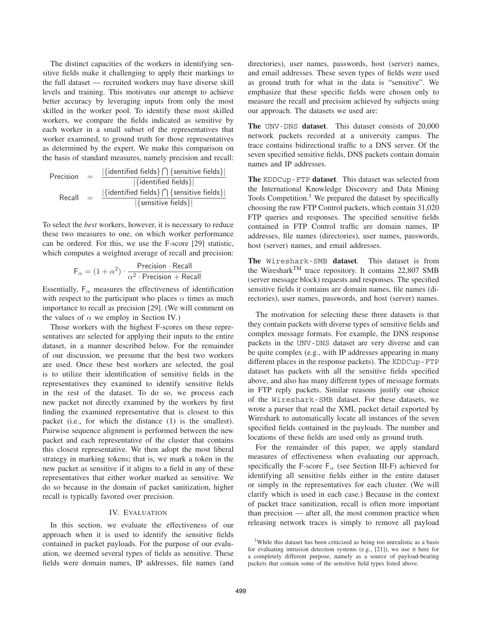The distinct capacities of the workers in identifying sensitive fields make it challenging to apply their markings to the full dataset — recruited workers may have diverse skill levels and training. This motivates our attempt to achieve better accuracy by leveraging inputs from only the most skilled in the worker pool. To identify these most skilled workers, we compare the fields indicated as sensitive by each worker in a small subset of the representatives that worker examined, to ground truth for those representatives as determined by the expert. We make this comparison on the basis of standard measures, namely precision and recall:

$$
Precision = \frac{|\{identified fields\} \cap \{sensitive fields\}|}{|\{identified fields\}|\}
$$
\n
$$
Recall = \frac{|\{identified fields\} \cap \{sensitive fields\}|}{|\{sensitive fields\}|\}
$$

To select the *best* workers, however, it is necessary to reduce these two measures to one, on which worker performance can be ordered. For this, we use the F-score [29] statistic, which computes a weighted average of recall and precision:

$$
\mathsf{F}_{\alpha} = (1 + \alpha^2) \cdot \frac{\text{Precision} \cdot \text{Recall}}{\alpha^2 \cdot \text{Precision} + \text{Recall}}
$$

Essentially,  $F_{\alpha}$  measures the effectiveness of identification with respect to the participant who places  $\alpha$  times as much importance to recall as precision [29]. (We will comment on the values of  $\alpha$  we employ in Section IV.)

Those workers with the highest F-scores on these representatives are selected for applying their inputs to the entire dataset, in a manner described below. For the remainder of our discussion, we presume that the best two workers are used. Once these best workers are selected, the goal is to utilize their identification of sensitive fields in the representatives they examined to identify sensitive fields in the rest of the dataset. To do so, we process each new packet not directly examined by the workers by first finding the examined representative that is closest to this packet (i.e., for which the distance (1) is the smallest). Pairwise sequence alignment is performed between the new packet and each representative of the cluster that contains this closest representative. We then adopt the most liberal strategy in marking tokens; that is, we mark a token in the new packet as sensitive if it aligns to a field in any of these representatives that either worker marked as sensitive. We do so because in the domain of packet sanitization, higher recall is typically favored over precision.

## IV. EVALUATION

In this section, we evaluate the effectiveness of our approach when it is used to identify the sensitive fields contained in packet payloads. For the purpose of our evaluation, we deemed several types of fields as sensitive. These fields were domain names, IP addresses, file names (and directories), user names, passwords, host (server) names, and email addresses. These seven types of fields were used as ground truth for what in the data is "sensitive". We emphasize that these specific fields were chosen only to measure the recall and precision achieved by subjects using our approach. The datasets we used are:

**The** UNV-DNS **dataset**. This dataset consists of 20,000 network packets recorded at a university campus. The trace contains bidirectional traffic to a DNS server. Of the seven specified sensitive fields, DNS packets contain domain names and IP addresses.

**The** KDDCup-FTP **dataset**. This dataset was selected from the International Knowledge Discovery and Data Mining Tools Competition. $3$  We prepared the dataset by specifically choosing the raw FTP Control packets, which contain 31,020 FTP queries and responses. The specified sensitive fields contained in FTP Control traffic are domain names, IP addresses, file names (directories), user names, passwords, host (server) names, and email addresses.

**The** Wireshark-SMB **dataset**. This dataset is from the Wireshark<sup>TM</sup> trace repository. It contains 22,807 SMB (server message block) requests and responses. The specified sensitive fields it contains are domain names, file names (directories), user names, passwords, and host (server) names.

The motivation for selecting these three datasets is that they contain packets with diverse types of sensitive fields and complex message formats. For example, the DNS response packets in the UNV-DNS dataset are very diverse and can be quite complex (e.g., with IP addresses appearing in many different places in the response packets). The KDDCup-FTP dataset has packets with all the sensitive fields specified above, and also has many different types of message formats in FTP reply packets. Similar reasons justify our choice of the Wireshark-SMB dataset. For these datasets, we wrote a parser that read the XML packet detail exported by Wireshark to automatically locate all instances of the seven specified fields contained in the payloads. The number and locations of these fields are used only as ground truth.

For the remainder of this paper, we apply standard measures of effectiveness when evaluating our approach, specifically the F-score  $F_\alpha$  (see Section III-F) achieved for identifying all sensitive fields either in the entire dataset or simply in the representatives for each cluster. (We will clarify which is used in each case.) Because in the context of packet trace sanitization, recall is often more important than precision — after all, the most common practice when releasing network traces is simply to remove all payload

<sup>3</sup>While this dataset has been criticized as being too unrealistic as a basis for evaluating intrusion detection systems (e.g., [21]), we use it here for a completely different purpose, namely as a source of payload-bearing packets that contain some of the sensitive field types listed above.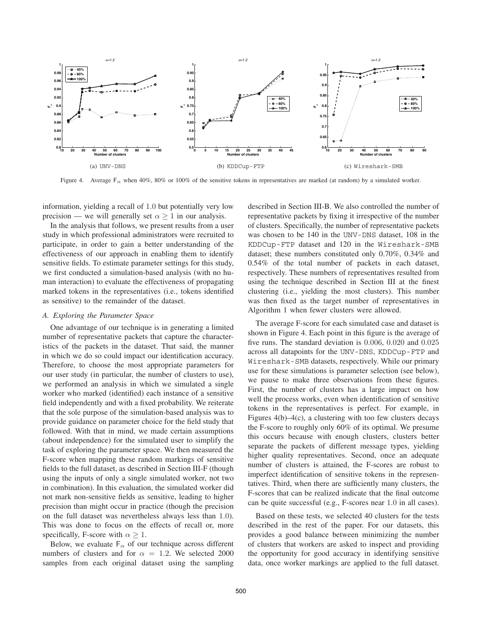

Figure 4. Average  $F_\alpha$  when 40%, 80% or 100% of the sensitive tokens in representatives are marked (at random) by a simulated worker.

information, yielding a recall of 1.0 but potentially very low precision — we will generally set  $\alpha \geq 1$  in our analysis.

In the analysis that follows, we present results from a user study in which professional administrators were recruited to participate, in order to gain a better understanding of the effectiveness of our approach in enabling them to identify sensitive fields. To estimate parameter settings for this study, we first conducted a simulation-based analysis (with no human interaction) to evaluate the effectiveness of propagating marked tokens in the representatives (i.e., tokens identified as sensitive) to the remainder of the dataset.

#### *A. Exploring the Parameter Space*

One advantage of our technique is in generating a limited number of representative packets that capture the characteristics of the packets in the dataset. That said, the manner in which we do so could impact our identification accuracy. Therefore, to choose the most appropriate parameters for our user study (in particular, the number of clusters to use), we performed an analysis in which we simulated a single worker who marked (identified) each instance of a sensitive field independently and with a fixed probability. We reiterate that the sole purpose of the simulation-based analysis was to provide guidance on parameter choice for the field study that followed. With that in mind, we made certain assumptions (about independence) for the simulated user to simplify the task of exploring the parameter space. We then measured the F-score when mapping these random markings of sensitive fields to the full dataset, as described in Section III-F (though using the inputs of only a single simulated worker, not two in combination). In this evaluation, the simulated worker did not mark non-sensitive fields as sensitive, leading to higher precision than might occur in practice (though the precision on the full dataset was nevertheless always less than 1.0). This was done to focus on the effects of recall or, more specifically, F-score with  $\alpha > 1$ .

Below, we evaluate  $F_\alpha$  of our technique across different numbers of clusters and for  $\alpha = 1.2$ . We selected 2000 samples from each original dataset using the sampling described in Section III-B. We also controlled the number of representative packets by fixing it irrespective of the number of clusters. Specifically, the number of representative packets was chosen to be 140 in the UNV-DNS dataset, 108 in the KDDCup-FTP dataset and 120 in the Wireshark-SMB dataset; these numbers constituted only 0.70%, 0.34% and 0.54% of the total number of packets in each dataset, respectively. These numbers of representatives resulted from using the technique described in Section III at the finest clustering (i.e., yielding the most clusters). This number was then fixed as the target number of representatives in Algorithm 1 when fewer clusters were allowed.

The average F-score for each simulated case and dataset is shown in Figure 4. Each point in this figure is the average of five runs. The standard deviation is 0.006, 0.020 and 0.025 across all datapoints for the UNV-DNS, KDDCup-FTP and Wireshark-SMB datasets, respectively. While our primary use for these simulations is parameter selection (see below), we pause to make three observations from these figures. First, the number of clusters has a large impact on how well the process works, even when identification of sensitive tokens in the representatives is perfect. For example, in Figures 4(b)–4(c), a clustering with too few clusters decays the F-score to roughly only 60% of its optimal. We presume this occurs because with enough clusters, clusters better separate the packets of different message types, yielding higher quality representatives. Second, once an adequate number of clusters is attained, the F-scores are robust to imperfect identification of sensitive tokens in the representatives. Third, when there are sufficiently many clusters, the F-scores that can be realized indicate that the final outcome can be quite successful (e.g., F-scores near 1.0 in all cases).

Based on these tests, we selected 40 clusters for the tests described in the rest of the paper. For our datasets, this provides a good balance between minimizing the number of clusters that workers are asked to inspect and providing the opportunity for good accuracy in identifying sensitive data, once worker markings are applied to the full dataset.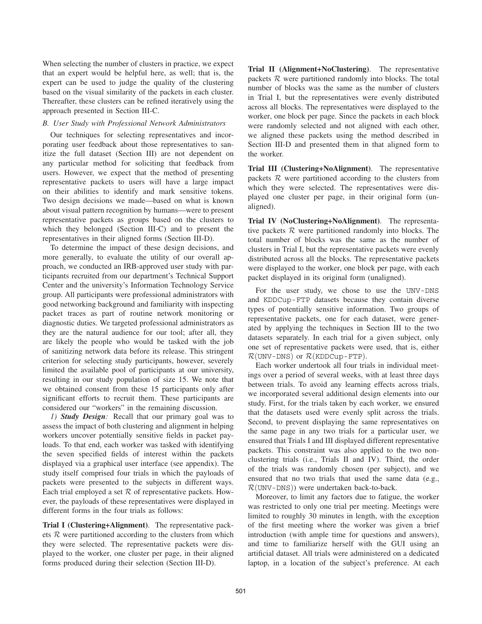When selecting the number of clusters in practice, we expect that an expert would be helpful here, as well; that is, the expert can be used to judge the quality of the clustering based on the visual similarity of the packets in each cluster. Thereafter, these clusters can be refined iteratively using the approach presented in Section III-C.

## *B. User Study with Professional Network Administrators*

Our techniques for selecting representatives and incorporating user feedback about those representatives to sanitize the full dataset (Section III) are not dependent on any particular method for soliciting that feedback from users. However, we expect that the method of presenting representative packets to users will have a large impact on their abilities to identify and mark sensitive tokens. Two design decisions we made—based on what is known about visual pattern recognition by humans—were to present representative packets as groups based on the clusters to which they belonged (Section III-C) and to present the representatives in their aligned forms (Section III-D).

To determine the impact of these design decisions, and more generally, to evaluate the utility of our overall approach, we conducted an IRB-approved user study with participants recruited from our department's Technical Support Center and the university's Information Technology Service group. All participants were professional administrators with good networking background and familiarity with inspecting packet traces as part of routine network monitoring or diagnostic duties. We targeted professional administrators as they are the natural audience for our tool; after all, they are likely the people who would be tasked with the job of sanitizing network data before its release. This stringent criterion for selecting study participants, however, severely limited the available pool of participants at our university, resulting in our study population of size 15. We note that we obtained consent from these 15 participants only after significant efforts to recruit them. These participants are considered our "workers" in the remaining discussion.

*1) Study Design:* Recall that our primary goal was to assess the impact of both clustering and alignment in helping workers uncover potentially sensitive fields in packet payloads. To that end, each worker was tasked with identifying the seven specified fields of interest within the packets displayed via a graphical user interface (see appendix). The study itself comprised four trials in which the payloads of packets were presented to the subjects in different ways. Each trial employed a set  $R$  of representative packets. However, the payloads of these representatives were displayed in different forms in the four trials as follows:

**Trial I (Clustering+Alignment)**. The representative packets  $R$  were partitioned according to the clusters from which they were selected. The representative packets were displayed to the worker, one cluster per page, in their aligned forms produced during their selection (Section III-D).

**Trial II (Alignment+NoClustering)**. The representative packets  $R$  were partitioned randomly into blocks. The total number of blocks was the same as the number of clusters in Trial I, but the representatives were evenly distributed across all blocks. The representatives were displayed to the worker, one block per page. Since the packets in each block were randomly selected and not aligned with each other, we aligned these packets using the method described in Section III-D and presented them in that aligned form to the worker.

**Trial III (Clustering+NoAlignment)**. The representative packets  $R$  were partitioned according to the clusters from which they were selected. The representatives were displayed one cluster per page, in their original form (unaligned).

**Trial IV (NoClustering+NoAlignment)**. The representative packets  $R$  were partitioned randomly into blocks. The total number of blocks was the same as the number of clusters in Trial I, but the representative packets were evenly distributed across all the blocks. The representative packets were displayed to the worker, one block per page, with each packet displayed in its original form (unaligned).

For the user study, we chose to use the UNV-DNS and KDDCup-FTP datasets because they contain diverse types of potentially sensitive information. Two groups of representative packets, one for each dataset, were generated by applying the techniques in Section III to the two datasets separately. In each trial for a given subject, only one set of representative packets were used, that is, either  $R$ (UNV-DNS) or  $R$ (KDDCup-FTP).

Each worker undertook all four trials in individual meetings over a period of several weeks, with at least three days between trials. To avoid any learning effects across trials, we incorporated several additional design elements into our study. First, for the trials taken by each worker, we ensured that the datasets used were evenly split across the trials. Second, to prevent displaying the same representatives on the same page in any two trials for a particular user, we ensured that Trials I and III displayed different representative packets. This constraint was also applied to the two nonclustering trials (i.e., Trials II and IV). Third, the order of the trials was randomly chosen (per subject), and we ensured that no two trials that used the same data (e.g.,  $R$ (UNV-DNS)) were undertaken back-to-back.

Moreover, to limit any factors due to fatigue, the worker was restricted to only one trial per meeting. Meetings were limited to roughly 30 minutes in length, with the exception of the first meeting where the worker was given a brief introduction (with ample time for questions and answers), and time to familiarize herself with the GUI using an artificial dataset. All trials were administered on a dedicated laptop, in a location of the subject's preference. At each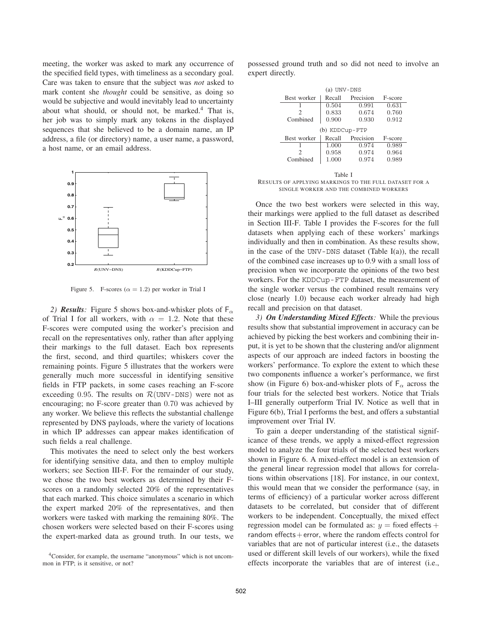meeting, the worker was asked to mark any occurrence of the specified field types, with timeliness as a secondary goal. Care was taken to ensure that the subject was *not* asked to mark content she *thought* could be sensitive, as doing so would be subjective and would inevitably lead to uncertainty about what should, or should not, be marked.<sup>4</sup> That is, her job was to simply mark any tokens in the displayed sequences that she believed to be a domain name, an IP address, a file (or directory) name, a user name, a password, a host name, or an email address.



Figure 5. F-scores ( $\alpha = 1.2$ ) per worker in Trial I

2) *Results*: Figure 5 shows box-and-whisker plots of  $F_{\alpha}$ of Trial I for all workers, with  $\alpha = 1.2$ . Note that these F-scores were computed using the worker's precision and recall on the representatives only, rather than after applying their markings to the full dataset. Each box represents the first, second, and third quartiles; whiskers cover the remaining points. Figure 5 illustrates that the workers were generally much more successful in identifying sensitive fields in FTP packets, in some cases reaching an F-score exceeding 0.95. The results on  $\mathcal{R}$ (UNV-DNS) were not as encouraging; no F-score greater than 0.70 was achieved by any worker. We believe this reflects the substantial challenge represented by DNS payloads, where the variety of locations in which IP addresses can appear makes identification of such fields a real challenge.

This motivates the need to select only the best workers for identifying sensitive data, and then to employ multiple workers; see Section III-F. For the remainder of our study, we chose the two best workers as determined by their Fscores on a randomly selected 20% of the representatives that each marked. This choice simulates a scenario in which the expert marked 20% of the representatives, and then workers were tasked with marking the remaining 80%. The chosen workers were selected based on their F-scores using the expert-marked data as ground truth. In our tests, we possessed ground truth and so did not need to involve an expert directly.

| (a) UNV-DNS                 |                |           |         |  |  |  |  |  |  |  |  |  |
|-----------------------------|----------------|-----------|---------|--|--|--|--|--|--|--|--|--|
| Best worker                 | Recall         | Precision | F-score |  |  |  |  |  |  |  |  |  |
|                             | 0.504          | 0.991     | 0.631   |  |  |  |  |  |  |  |  |  |
| $\mathcal{D}_{\mathcal{L}}$ | 0.833          | 0.674     | 0.760   |  |  |  |  |  |  |  |  |  |
| Combined                    | 0.900          | 0.930     | 0.912   |  |  |  |  |  |  |  |  |  |
|                             |                |           |         |  |  |  |  |  |  |  |  |  |
|                             | (b) KDDCup-FTP |           |         |  |  |  |  |  |  |  |  |  |
| Best worker                 | Recall         | Precision | F-score |  |  |  |  |  |  |  |  |  |
|                             | 1.000          | 0.974     | 0.989   |  |  |  |  |  |  |  |  |  |
| $\mathfrak{D}$              | 0.958          | 0.974     | 0.964   |  |  |  |  |  |  |  |  |  |

Table I RESULTS OF APPLYING MARKINGS TO THE FULL DATASET FOR A SINGLE WORKER AND THE COMBINED WORKERS

Once the two best workers were selected in this way, their markings were applied to the full dataset as described in Section III-F. Table I provides the F-scores for the full datasets when applying each of these workers' markings individually and then in combination. As these results show, in the case of the UNV-DNS dataset (Table  $I(a)$ ), the recall of the combined case increases up to 0.9 with a small loss of precision when we incorporate the opinions of the two best workers. For the KDDCup-FTP dataset, the measurement of the single worker versus the combined result remains very close (nearly 1.0) because each worker already had high recall and precision on that dataset.

*3) On Understanding Mixed Effects:* While the previous results show that substantial improvement in accuracy can be achieved by picking the best workers and combining their input, it is yet to be shown that the clustering and/or alignment aspects of our approach are indeed factors in boosting the workers' performance. To explore the extent to which these two components influence a worker's performance, we first show (in Figure 6) box-and-whisker plots of  $F_\alpha$  across the four trials for the selected best workers. Notice that Trials I–III generally outperform Trial IV. Notice as well that in Figure 6(b), Trial I performs the best, and offers a substantial improvement over Trial IV.

To gain a deeper understanding of the statistical significance of these trends, we apply a mixed-effect regression model to analyze the four trials of the selected best workers shown in Figure 6. A mixed-effect model is an extension of the general linear regression model that allows for correlations within observations [18]. For instance, in our context, this would mean that we consider the performance (say, in terms of efficiency) of a particular worker across different datasets to be correlated, but consider that of different workers to be independent. Conceptually, the mixed effect regression model can be formulated as:  $y =$  fixed effects + random effects  $+$  error, where the random effects control for variables that are not of particular interest (i.e., the datasets used or different skill levels of our workers), while the fixed effects incorporate the variables that are of interest (i.e.,

<sup>4</sup>Consider, for example, the username "anonymous" which is not uncommon in FTP; is it sensitive, or not?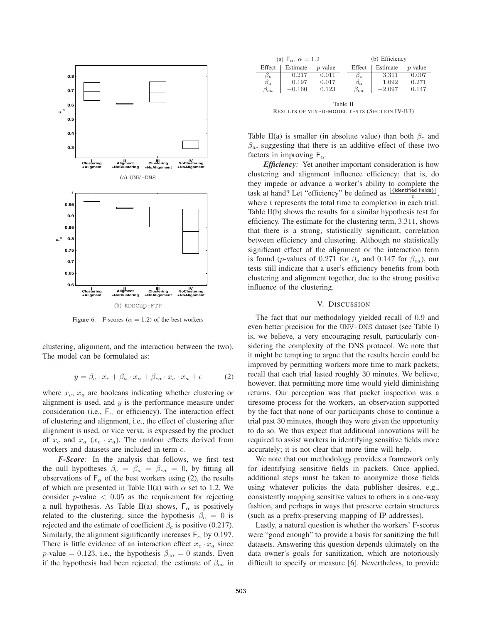

Figure 6. F-scores ( $\alpha = 1.2$ ) of the best workers

clustering, alignment, and the interaction between the two). The model can be formulated as:

$$
y = \beta_c \cdot x_c + \beta_a \cdot x_a + \beta_{ca} \cdot x_c \cdot x_a + \epsilon \tag{2}
$$

where  $x_c$ ,  $x_a$  are booleans indicating whether clustering or alignment is used, and  $y$  is the performance measure under consideration (i.e.,  $F_{\alpha}$  or efficiency). The interaction effect of clustering and alignment, i.e., the effect of clustering after alignment is used, or vice versa, is expressed by the product of  $x_c$  and  $x_a$   $(x_c \cdot x_a)$ . The random effects derived from workers and datasets are included in term  $\epsilon$ .

*F-Score:* In the analysis that follows, we first test the null hypotheses  $\beta_c = \beta_a = \beta_{ca} = 0$ , by fitting all observations of  $F_\alpha$  of the best workers using (2), the results of which are presented in Table II(a) with  $\alpha$  set to 1.2. We consider  $p$ -value  $\langle 0.05 \rangle$  as the requirement for rejecting a null hypothesis. As Table II(a) shows,  $F_{\alpha}$  is positively related to the clustering, since the hypothesis  $\beta_c = 0$  is rejected and the estimate of coefficient  $\beta_c$  is positive (0.217). Similarly, the alignment significantly increases  $F_{\alpha}$  by 0.197. There is little evidence of an interaction effect  $x_c \cdot x_a$  since  $p$ -value = 0.123, i.e., the hypothesis  $\beta_{ca} = 0$  stands. Even if the hypothesis had been rejected, the estimate of  $\beta_{ca}$  in

|              | (a) $F_{\alpha}$ , $\alpha = 1.2$            |            | (b) Efficiency |              |          |            |  |  |  |  |  |
|--------------|----------------------------------------------|------------|----------------|--------------|----------|------------|--|--|--|--|--|
| Effect       | Estimate                                     | $p$ -value |                | Effect       | Estimate | $p$ -value |  |  |  |  |  |
| $\beta_c$    | 0.217                                        | 0.011      |                | $\beta_c$    | 3.311    | 0.007      |  |  |  |  |  |
| $\beta_a$    | 0.197                                        | 0.017      |                | $\beta_a$    | 1.092    | 0.271      |  |  |  |  |  |
| $\beta_{ca}$ | $-0.160$                                     | 0.123      |                | $\beta_{ca}$ | $-2.097$ | 0.147      |  |  |  |  |  |
| Table II     |                                              |            |                |              |          |            |  |  |  |  |  |
|              | RESULTS OF MIXED-MODEL TESTS (SECTION IV-B3) |            |                |              |          |            |  |  |  |  |  |
|              |                                              |            |                |              |          |            |  |  |  |  |  |

Table II(a) is smaller (in absolute value) than both  $\beta_c$  and  $\beta_a$ , suggesting that there is an additive effect of these two factors in improving  $F_{\alpha}$ .

*Efficiency:* Yet another important consideration is how clustering and alignment influence efficiency; that is, do they impede or advance a worker's ability to complete the task at hand? Let "efficiency" be defined as  $\frac{|\{\text{identified fields}\}|}{t}$ , where  $t$  represents the total time to completion in each trial. Table II(b) shows the results for a similar hypothesis test for efficiency. The estimate for the clustering term, 3.311, shows that there is a strong, statistically significant, correlation between efficiency and clustering. Although no statistically significant effect of the alignment or the interaction term is found (p-values of 0.271 for  $\beta_a$  and 0.147 for  $\beta_{ca}$ ), our tests still indicate that a user's efficiency benefits from both clustering and alignment together, due to the strong positive influence of the clustering.

#### V. DISCUSSION

The fact that our methodology yielded recall of 0.9 and even better precision for the UNV-DNS dataset (see Table I) is, we believe, a very encouraging result, particularly considering the complexity of the DNS protocol. We note that it might be tempting to argue that the results herein could be improved by permitting workers more time to mark packets; recall that each trial lasted roughly 30 minutes. We believe, however, that permitting more time would yield diminishing returns. Our perception was that packet inspection was a tiresome process for the workers, an observation supported by the fact that none of our participants chose to continue a trial past 30 minutes, though they were given the opportunity to do so. We thus expect that additional innovations will be required to assist workers in identifying sensitive fields more accurately; it is not clear that more time will help.

We note that our methodology provides a framework only for identifying sensitive fields in packets. Once applied, additional steps must be taken to anonymize those fields using whatever policies the data publisher desires, e.g., consistently mapping sensitive values to others in a one-way fashion, and perhaps in ways that preserve certain structures (such as a prefix-preserving mapping of IP addresses).

Lastly, a natural question is whether the workers' F-scores were "good enough" to provide a basis for sanitizing the full datasets. Answering this question depends ultimately on the data owner's goals for sanitization, which are notoriously difficult to specify or measure [6]. Nevertheless, to provide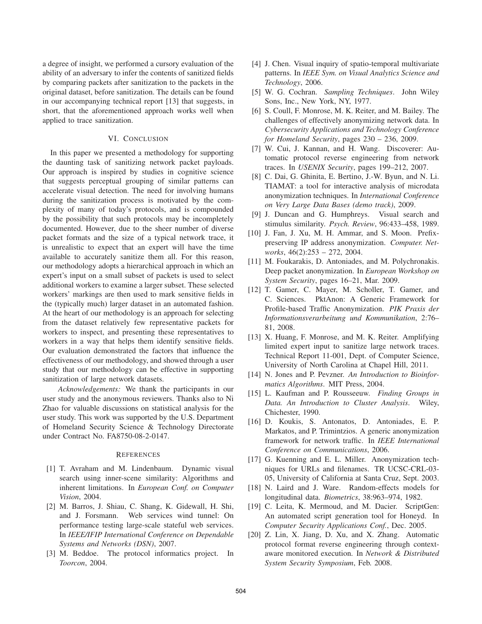a degree of insight, we performed a cursory evaluation of the ability of an adversary to infer the contents of sanitized fields by comparing packets after sanitization to the packets in the original dataset, before sanitization. The details can be found in our accompanying technical report [13] that suggests, in short, that the aforementioned approach works well when applied to trace sanitization.

## VI. CONCLUSION

In this paper we presented a methodology for supporting the daunting task of sanitizing network packet payloads. Our approach is inspired by studies in cognitive science that suggests perceptual grouping of similar patterns can accelerate visual detection. The need for involving humans during the sanitization process is motivated by the complexity of many of today's protocols, and is compounded by the possibility that such protocols may be incompletely documented. However, due to the sheer number of diverse packet formats and the size of a typical network trace, it is unrealistic to expect that an expert will have the time available to accurately sanitize them all. For this reason, our methodology adopts a hierarchical approach in which an expert's input on a small subset of packets is used to select additional workers to examine a larger subset. These selected workers' markings are then used to mark sensitive fields in the (typically much) larger dataset in an automated fashion. At the heart of our methodology is an approach for selecting from the dataset relatively few representative packets for workers to inspect, and presenting these representatives to workers in a way that helps them identify sensitive fields. Our evaluation demonstrated the factors that influence the effectiveness of our methodology, and showed through a user study that our methodology can be effective in supporting sanitization of large network datasets.

*Acknowledgements:* We thank the participants in our user study and the anonymous reviewers. Thanks also to Ni Zhao for valuable discussions on statistical analysis for the user study. This work was supported by the U.S. Department of Homeland Security Science & Technology Directorate under Contract No. FA8750-08-2-0147.

#### **REFERENCES**

- [1] T. Avraham and M. Lindenbaum. Dynamic visual search using inner-scene similarity: Algorithms and inherent limitations. In *European Conf. on Computer Vision*, 2004.
- [2] M. Barros, J. Shiau, C. Shang, K. Gidewall, H. Shi, and J. Forsmann. Web services wind tunnel: On performance testing large-scale stateful web services. In *IEEE/IFIP International Conference on Dependable Systems and Networks (DSN)*, 2007.
- [3] M. Beddoe. The protocol informatics project. In *Toorcon*, 2004.
- [4] J. Chen. Visual inquiry of spatio-temporal multivariate patterns. In *IEEE Sym. on Visual Analytics Science and Technology*, 2006.
- [5] W. G. Cochran. *Sampling Techniques*. John Wiley Sons, Inc., New York, NY, 1977.
- [6] S. Coull, F. Monrose, M. K. Reiter, and M. Bailey. The challenges of effectively anonymizing network data. In *Cybersecurity Applications and Technology Conference for Homeland Security*, pages 230 – 236, 2009.
- [7] W. Cui, J. Kannan, and H. Wang. Discoverer: Automatic protocol reverse engineering from network traces. In *USENIX Security*, pages 199–212, 2007.
- [8] C. Dai, G. Ghinita, E. Bertino, J.-W. Byun, and N. Li. TIAMAT: a tool for interactive analysis of microdata anonymization techniques. In *International Conference on Very Large Data Bases (demo track)*, 2009.
- [9] J. Duncan and G. Humphreys. Visual search and stimulus similarity. *Psych. Review*, 96:433–458, 1989.
- [10] J. Fan, J. Xu, M. H. Ammar, and S. Moon. Prefixpreserving IP address anonymization. *Computer. Networks*, 46(2):253 – 272, 2004.
- [11] M. Foukarakis, D. Antoniades, and M. Polychronakis. Deep packet anonymization. In *European Workshop on System Security*, pages 16–21, Mar. 2009.
- [12] T. Gamer, C. Mayer, M. Scholler, T. Gamer, and C. Sciences. PktAnon: A Generic Framework for Profile-based Traffic Anonymization. *PIK Praxis der Informationsverarbeitung und Kommunikation*, 2:76– 81, 2008.
- [13] X. Huang, F. Monrose, and M. K. Reiter. Amplifying limited expert input to sanitize large network traces. Technical Report 11-001, Dept. of Computer Science, University of North Carolina at Chapel Hill, 2011.
- [14] N. Jones and P. Pevzner. *An Introduction to Bioinformatics Algorithms*. MIT Press, 2004.
- [15] L. Kaufman and P. Rousseeuw. *Finding Groups in Data. An Introduction to Cluster Analysis*. Wiley, Chichester, 1990.
- [16] D. Koukis, S. Antonatos, D. Antoniades, E. P. Markatos, and P. Trimintzios. A generic anonymization framework for network traffic. In *IEEE International Conference on Communications*, 2006.
- [17] G. Kuenning and E. L. Miller. Anonymization techniques for URLs and filenames. TR UCSC-CRL-03- 05, University of California at Santa Cruz, Sept. 2003.
- [18] N. Laird and J. Ware. Random-effects models for longitudinal data. *Biometrics*, 38:963–974, 1982.
- [19] C. Leita, K. Mermoud, and M. Dacier. ScriptGen: An automated script generation tool for Honeyd. In *Computer Security Applications Conf.*, Dec. 2005.
- [20] Z. Lin, X. Jiang, D. Xu, and X. Zhang. Automatic protocol format reverse engineering through contextaware monitored execution. In *Network & Distributed System Security Symposium*, Feb. 2008.